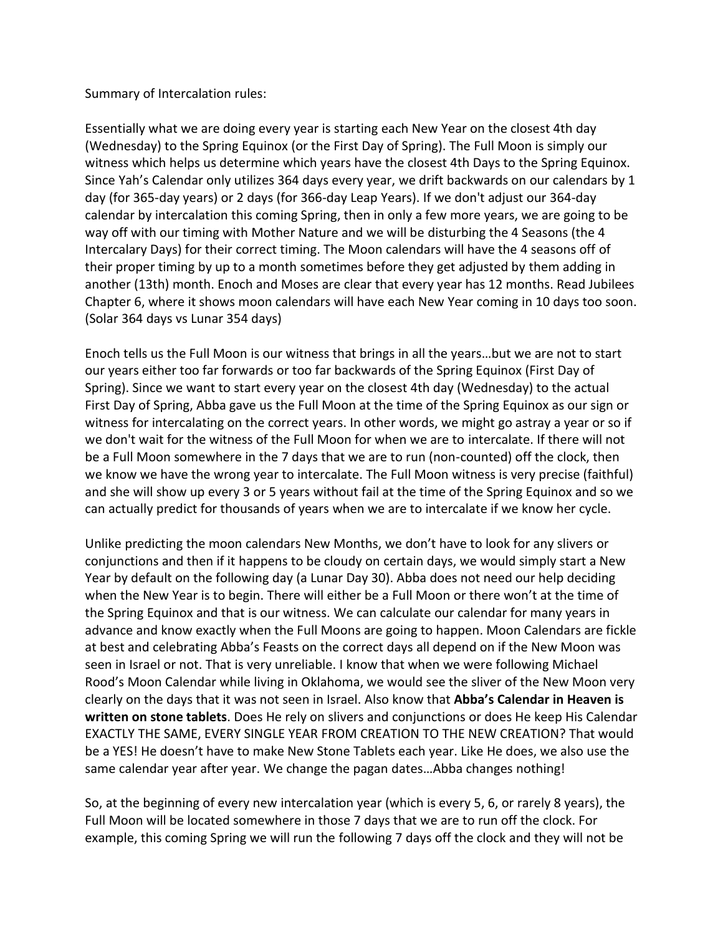Summary of Intercalation rules:

Essentially what we are doing every year is starting each New Year on the closest 4th day (Wednesday) to the Spring Equinox (or the First Day of Spring). The Full Moon is simply our witness which helps us determine which years have the closest 4th Days to the Spring Equinox. Since Yah's Calendar only utilizes 364 days every year, we drift backwards on our calendars by 1 day (for 365-day years) or 2 days (for 366-day Leap Years). If we don't adjust our 364-day calendar by intercalation this coming Spring, then in only a few more years, we are going to be way off with our timing with Mother Nature and we will be disturbing the 4 Seasons (the 4 Intercalary Days) for their correct timing. The Moon calendars will have the 4 seasons off of their proper timing by up to a month sometimes before they get adjusted by them adding in another (13th) month. Enoch and Moses are clear that every year has 12 months. Read Jubilees Chapter 6, where it shows moon calendars will have each New Year coming in 10 days too soon. (Solar 364 days vs Lunar 354 days)

Enoch tells us the Full Moon is our witness that brings in all the years…but we are not to start our years either too far forwards or too far backwards of the Spring Equinox (First Day of Spring). Since we want to start every year on the closest 4th day (Wednesday) to the actual First Day of Spring, Abba gave us the Full Moon at the time of the Spring Equinox as our sign or witness for intercalating on the correct years. In other words, we might go astray a year or so if we don't wait for the witness of the Full Moon for when we are to intercalate. If there will not be a Full Moon somewhere in the 7 days that we are to run (non-counted) off the clock, then we know we have the wrong year to intercalate. The Full Moon witness is very precise (faithful) and she will show up every 3 or 5 years without fail at the time of the Spring Equinox and so we can actually predict for thousands of years when we are to intercalate if we know her cycle.

Unlike predicting the moon calendars New Months, we don't have to look for any slivers or conjunctions and then if it happens to be cloudy on certain days, we would simply start a New Year by default on the following day (a Lunar Day 30). Abba does not need our help deciding when the New Year is to begin. There will either be a Full Moon or there won't at the time of the Spring Equinox and that is our witness. We can calculate our calendar for many years in advance and know exactly when the Full Moons are going to happen. Moon Calendars are fickle at best and celebrating Abba's Feasts on the correct days all depend on if the New Moon was seen in Israel or not. That is very unreliable. I know that when we were following Michael Rood's Moon Calendar while living in Oklahoma, we would see the sliver of the New Moon very clearly on the days that it was not seen in Israel. Also know that **Abba's Calendar in Heaven is written on stone tablets**. Does He rely on slivers and conjunctions or does He keep His Calendar EXACTLY THE SAME, EVERY SINGLE YEAR FROM CREATION TO THE NEW CREATION? That would be a YES! He doesn't have to make New Stone Tablets each year. Like He does, we also use the same calendar year after year. We change the pagan dates…Abba changes nothing!

So, at the beginning of every new intercalation year (which is every 5, 6, or rarely 8 years), the Full Moon will be located somewhere in those 7 days that we are to run off the clock. For example, this coming Spring we will run the following 7 days off the clock and they will not be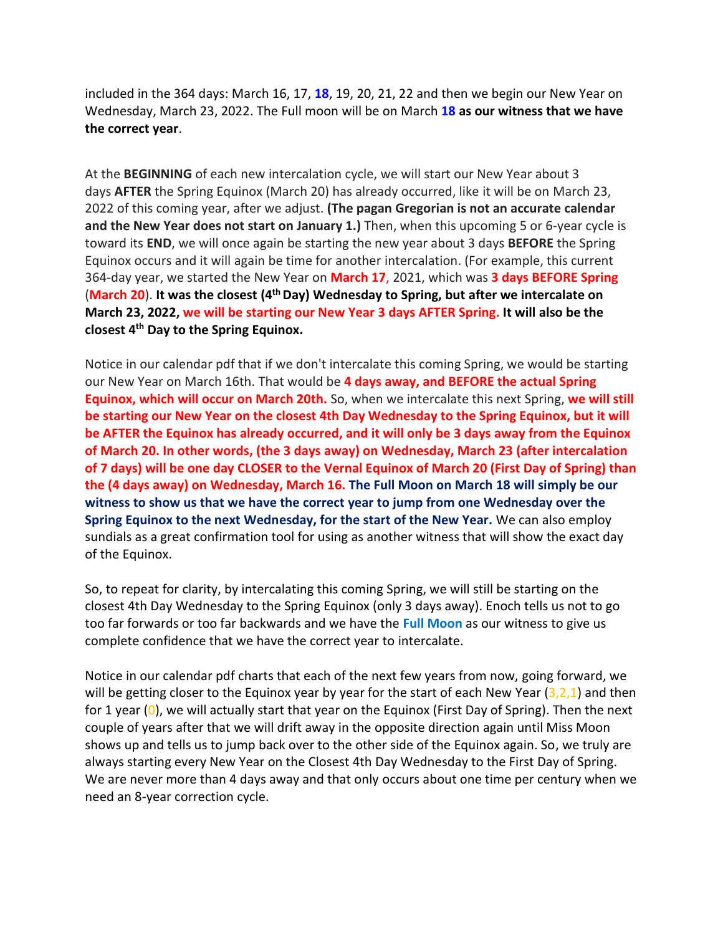included in the 364 days: March 16, 17, **18**, 19, 20, 21, 22 and then we begin our New Year on Wednesday, March 23, 2022. The Full moon will be on March **18 as our witness that we have the correct year**.

At the **BEGINNING** of each new intercalation cycle, we will start our New Year about 3 days **AFTER** the Spring Equinox (March 20) has already occurred, like it will be on March 23, 2022 of this coming year, after we adjust. **(The pagan Gregorian is not an accurate calendar and the New Year does not start on January 1.)** Then, when this upcoming 5 or 6-year cycle is toward its **END**, we will once again be starting the new year about 3 days **BEFORE** the Spring Equinox occurs and it will again be time for another intercalation. (For example, this current 364-day year, we started the New Year on **March 17**, 2021, which was **3 days BEFORE Spring** (**March 20**). **It was the closest (4 thDay) Wednesday to Spring, but after we intercalate on March 23, 2022, we will be starting our New Year 3 days AFTER Spring. It will also be the closest 4th Day to the Spring Equinox.**

Notice in our calendar pdf that if we don't intercalate this coming Spring, we would be starting our New Year on March 16th. That would be **4 days away, and BEFORE the actual Spring Equinox, which will occur on March 20th.** So, when we intercalate this next Spring, **we will still be starting our New Year on the closest 4th Day Wednesday to the Spring Equinox, but it will be AFTER the Equinox has already occurred, and it will only be 3 days away from the Equinox of March 20. In other words, (the 3 days away) on Wednesday, March 23 (after intercalation of 7 days) will be one day CLOSER to the Vernal Equinox of March 20 (First Day of Spring) than the (4 days away) on Wednesday, March 16. The Full Moon on March 18 will simply be our witness to show us that we have the correct year to jump from one Wednesday over the Spring Equinox to the next Wednesday, for the start of the New Year.** We can also employ sundials as a great confirmation tool for using as another witness that will show the exact day of the Equinox.

So, to repeat for clarity, by intercalating this coming Spring, we will still be starting on the closest 4th Day Wednesday to the Spring Equinox (only 3 days away). Enoch tells us not to go too far forwards or too far backwards and we have the **Full Moon** as our witness to give us complete confidence that we have the correct year to intercalate.

Notice in our calendar pdf charts that each of the next few years from now, going forward, we will be getting closer to the Equinox year by year for the start of each New Year  $(3,2,1)$  and then for 1 year  $(0)$ , we will actually start that year on the Equinox (First Day of Spring). Then the next couple of years after that we will drift away in the opposite direction again until Miss Moon shows up and tells us to jump back over to the other side of the Equinox again. So, we truly are always starting every New Year on the Closest 4th Day Wednesday to the First Day of Spring. We are never more than 4 days away and that only occurs about one time per century when we need an 8-year correction cycle.